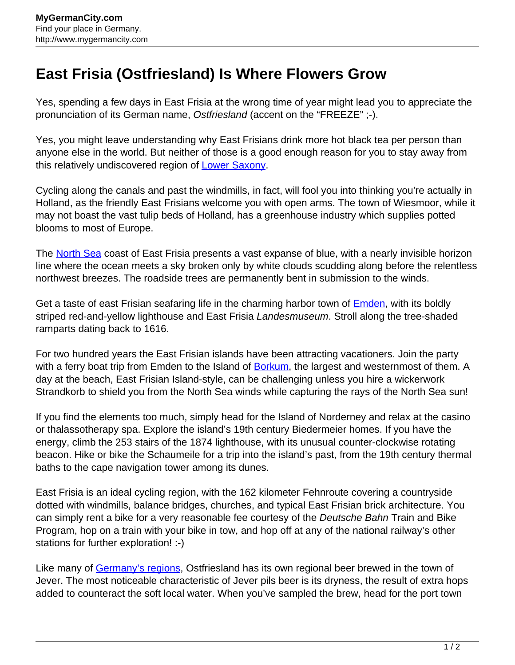## **East Frisia (Ostfriesland) Is Where Flowers Grow**

Yes, spending a few days in East Frisia at the wrong time of year might lead you to appreciate the pronunciation of its German name, Ostfriesland (accent on the "FREEZE" ;-).

Yes, you might leave understanding why East Frisians drink more hot black tea per person than anyone else in the world. But neither of those is a good enough reason for you to stay away from this relatively undiscovered region of **Lower Saxony**.

Cycling along the canals and past the windmills, in fact, will fool you into thinking you're actually in Holland, as the friendly East Frisians welcome you with open arms. The town of Wiesmoor, while it may not boast the vast tulip beds of Holland, has a greenhouse industry which supplies potted blooms to most of Europe.

The **North Sea** coast of East Frisia presents a vast expanse of blue, with a nearly invisible horizon line where the ocean meets a sky broken only by white clouds scudding along before the relentless northwest breezes. The roadside trees are permanently bent in submission to the winds.

Get a taste of east Frisian seafaring life in the charming harbor town of **Emden**, with its boldly striped red-and-yellow lighthouse and East Frisia Landesmuseum. Stroll along the tree-shaded ramparts dating back to 1616.

For two hundred years the East Frisian islands have been attracting vacationers. Join the party with a ferry boat trip from Emden to the Island of **[Borkum](http://www.mygermancity.com/borkum)**, the largest and westernmost of them. A day at the beach, East Frisian Island-style, can be challenging unless you hire a wickerwork Strandkorb to shield you from the North Sea winds while capturing the rays of the North Sea sun!

If you find the elements too much, simply head for the Island of Norderney and relax at the casino or thalassotherapy spa. Explore the island's 19th century Biedermeier homes. If you have the energy, climb the 253 stairs of the 1874 lighthouse, with its unusual counter-clockwise rotating beacon. Hike or bike the Schaumeile for a trip into the island's past, from the 19th century thermal baths to the cape navigation tower among its dunes.

East Frisia is an ideal cycling region, with the 162 kilometer Fehnroute covering a countryside dotted with windmills, balance bridges, churches, and typical East Frisian brick architecture. You can simply rent a bike for a very reasonable fee courtesy of the Deutsche Bahn Train and Bike Program, hop on a train with your bike in tow, and hop off at any of the national railway's other stations for further exploration! :-)

Like many of [Germany's regions,](http://www.mygermancity.com/german-regions) Ostfriesland has its own regional beer brewed in the town of Jever. The most noticeable characteristic of Jever pils beer is its dryness, the result of extra hops added to counteract the soft local water. When you've sampled the brew, head for the port town